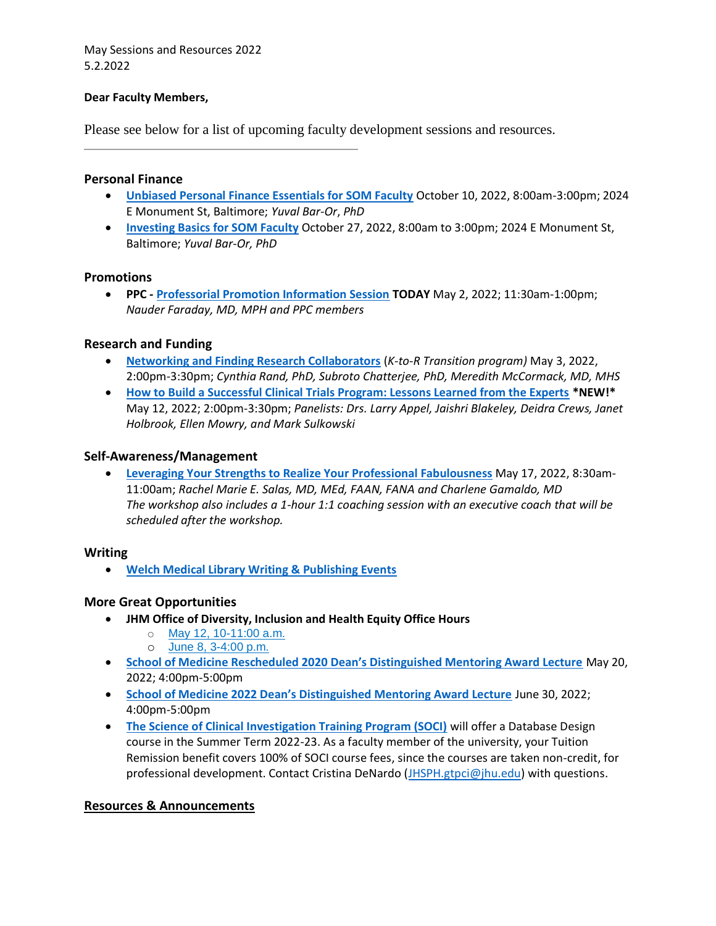May Sessions and Resources 2022 5.2.2022

## **Dear Faculty Members,**

Please see below for a list of upcoming faculty development sessions and resources.

## **Personal Finance**

- **[Unbiased Personal Finance Essentials for SOM Faculty](https://lms14.learnshare.com/l.aspx?Z=iMTPiTMBqCIcI9osvuiBi6YAYf8E3dFsXZKeXZd55No%3d&CID=89)** October 10, 2022, 8:00am-3:00pm; 2024 E Monument St, Baltimore; *Yuval Bar-Or*, *PhD*
- **[Investing Basics for SOM Faculty](https://lms14.learnshare.com/l.aspx?Z=JTSdyghzikyQkwZ9Eo1nSNxlZwgPgxEzj4vIW00zGQE%3d&CID=89)** October 27, 2022, 8:00am to 3:00pm; 2024 E Monument St, Baltimore; *Yuval Bar-Or, PhD*

#### **Promotions**

• **PPC - [Professorial Promotion Information Session](https://lms14.learnshare.com/l.aspx?Z=Uj2zbKOa3r4m2tx0geER0rHCzrBDRsT6YVvIOyZWnqY%3D&CID=89) TODAY** May 2, 2022; 11:30am-1:00pm; *Nauder Faraday, MD, MPH and PPC members*

# **Research and Funding**

- **[Networking and Finding Research Collaborators](https://bit.ly/3Esu3sV)** (*K-to-R Transition program)* May 3, 2022, 2:00pm-3:30pm; *Cynthia Rand, PhD, Subroto Chatterjee, PhD, Meredith McCormack, MD, MHS*
- **[How to Build a Successful Clinical Trials Program: Lessons Learned from the Experts](https://lms14.learnshare.com/l.aspx?Z=fNxw24iqU2i4r0wkeKb5aNrSdOznKyZmXNHHU0kQUIA%3d&CID=89) \*NEW!\***  May 12, 2022; 2:00pm-3:30pm; *Panelists: Drs. Larry Appel, Jaishri Blakeley, Deidra Crews, Janet Holbrook, Ellen Mowry, and Mark Sulkowski*

#### **Self-Awareness/Management**

• **[Leveraging Your Strengths to Realize Your Professional Fabulousness](https://hopkinscme.cloud-cme.com/course/courseoverview?P=0&EID=36394)** May 17, 2022, 8:30am-11:00am; *Rachel Marie E. Salas, MD, MEd, FAAN, FANA and Charlene Gamaldo, MD The workshop also includes a 1-hour 1:1 coaching session with an executive coach that will be scheduled after the workshop.*

#### **Writing**

• **[Welch Medical Library Writing & Publishing Events](https://bit.ly/wwpclasses)**

# **More Great Opportunities**

- **JHM Office of Diversity, Inclusion and Health Equity Office Hours**
	- o [May 12, 10-11:00 a.m.](https://s.bl-1.com/h/dqdcDGbC?url=https://jhjhm.zoom.us/meeting/register/tJEqduuvpjkqG9AQusHFrBcVeh0d096CxJVn)
	- o [June 8, 3-4:00 p.m.](https://s.bl-1.com/h/dqdcDLzF?url=https://jhjhm.zoom.us/meeting/register/tJUtc-6gqj8qHNKQj3XqP0KIHEKNq62fR7eS)
- **[School of Medicine Rescheduled 2020 Dean's Distinguished Mentoring Award Lecture](https://www.hopkinsmedicine.org/fac_development/_documents/deans_distinguished_mentoring_award_2020.pdf)** May 20, 2022; 4:00pm-5:00pm
- **[School of Medicine 2022 Dean's Distinguished Mentoring Award Lecture](https://www.hopkinsmedicine.org/fac_development/_documents/deans_distinguished_mentoring_award_2022.pdf)** June 30, 2022; 4:00pm-5:00pm
- **[The Science of Clinical Investigation Training Program \(SOCI\)](https://bit.ly/JHUsoci)** will offer a Database Design course in the Summer Term 2022-23. As a faculty member of the university, your Tuition Remission benefit covers 100% of SOCI course fees, since the courses are taken non-credit, for professional development. Contact Cristina DeNardo [\(JHSPH.gtpci@jhu.edu\)](mailto:JHSPH.gtpci@jhu.edu) with questions.

# **Resources & Announcements**